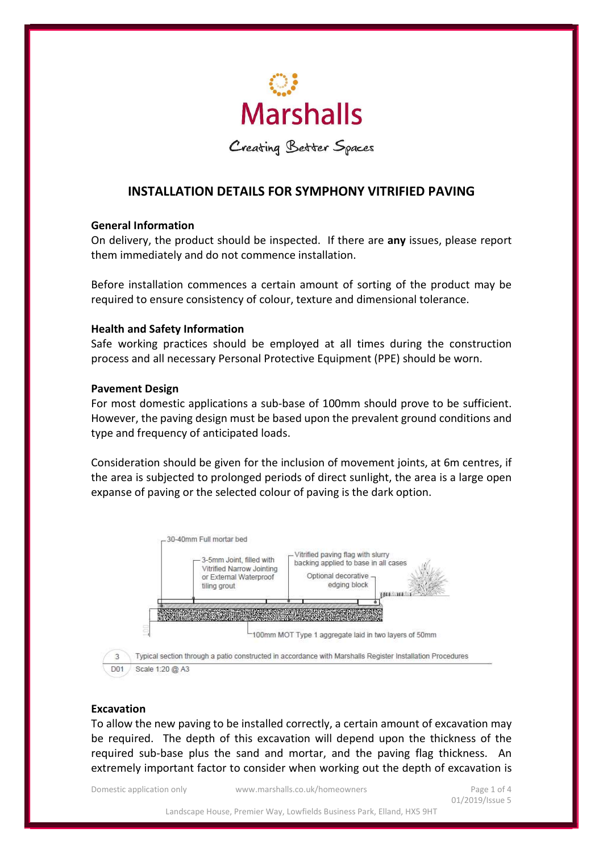

Creating Better Spaces

# INSTALLATION DETAILS FOR SYMPHONY VITRIFIED PAVING

### General Information

On delivery, the product should be inspected. If there are any issues, please report them immediately and do not commence installation.

Before installation commences a certain amount of sorting of the product may be required to ensure consistency of colour, texture and dimensional tolerance.

## Health and Safety Information

Safe working practices should be employed at all times during the construction process and all necessary Personal Protective Equipment (PPE) should be worn.

## Pavement Design

For most domestic applications a sub-base of 100mm should prove to be sufficient. However, the paving design must be based upon the prevalent ground conditions and type and frequency of anticipated loads.

Consideration should be given for the inclusion of movement joints, at 6m centres, if the area is subjected to prolonged periods of direct sunlight, the area is a large open expanse of paving or the selected colour of paving is the dark option.



## Excavation

To allow the new paving to be installed correctly, a certain amount of excavation may be required. The depth of this excavation will depend upon the thickness of the required sub-base plus the sand and mortar, and the paving flag thickness. An extremely important factor to consider when working out the depth of excavation is

Domestic application only www.marshalls.co.uk/homeowners Page 1 of 4

01/2019/Issue 5

Landscape House, Premier Way, Lowfields Business Park, Elland, HX5 9HT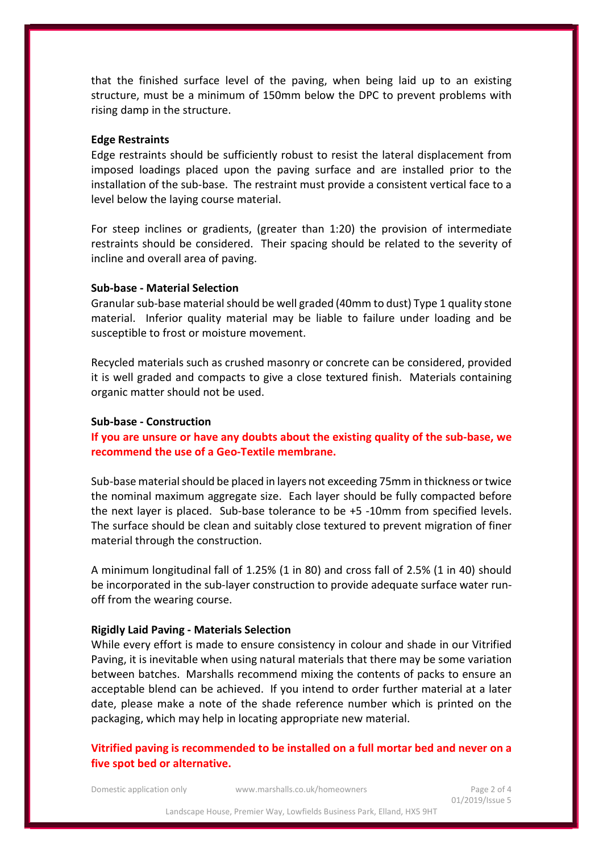that the finished surface level of the paving, when being laid up to an existing structure, must be a minimum of 150mm below the DPC to prevent problems with rising damp in the structure.

#### Edge Restraints

Edge restraints should be sufficiently robust to resist the lateral displacement from imposed loadings placed upon the paving surface and are installed prior to the installation of the sub-base. The restraint must provide a consistent vertical face to a level below the laying course material.

For steep inclines or gradients, (greater than 1:20) the provision of intermediate restraints should be considered. Their spacing should be related to the severity of incline and overall area of paving.

## Sub-base - Material Selection

Granular sub-base material should be well graded (40mm to dust) Type 1 quality stone material. Inferior quality material may be liable to failure under loading and be susceptible to frost or moisture movement.

Recycled materials such as crushed masonry or concrete can be considered, provided it is well graded and compacts to give a close textured finish. Materials containing organic matter should not be used.

### Sub-base - Construction

If you are unsure or have any doubts about the existing quality of the sub-base, we recommend the use of a Geo-Textile membrane.

Sub-base material should be placed in layers not exceeding 75mm in thickness or twice the nominal maximum aggregate size. Each layer should be fully compacted before the next layer is placed. Sub-base tolerance to be +5 -10mm from specified levels. The surface should be clean and suitably close textured to prevent migration of finer material through the construction.

A minimum longitudinal fall of 1.25% (1 in 80) and cross fall of 2.5% (1 in 40) should be incorporated in the sub-layer construction to provide adequate surface water runoff from the wearing course.

#### Rigidly Laid Paving - Materials Selection

While every effort is made to ensure consistency in colour and shade in our Vitrified Paving, it is inevitable when using natural materials that there may be some variation between batches. Marshalls recommend mixing the contents of packs to ensure an acceptable blend can be achieved. If you intend to order further material at a later date, please make a note of the shade reference number which is printed on the packaging, which may help in locating appropriate new material.

Vitrified paving is recommended to be installed on a full mortar bed and never on a five spot bed or alternative.

Domestic application only www.marshalls.co.uk/homeowners Page 2 of 4

01/2019/Issue 5

Landscape House, Premier Way, Lowfields Business Park, Elland, HX5 9HT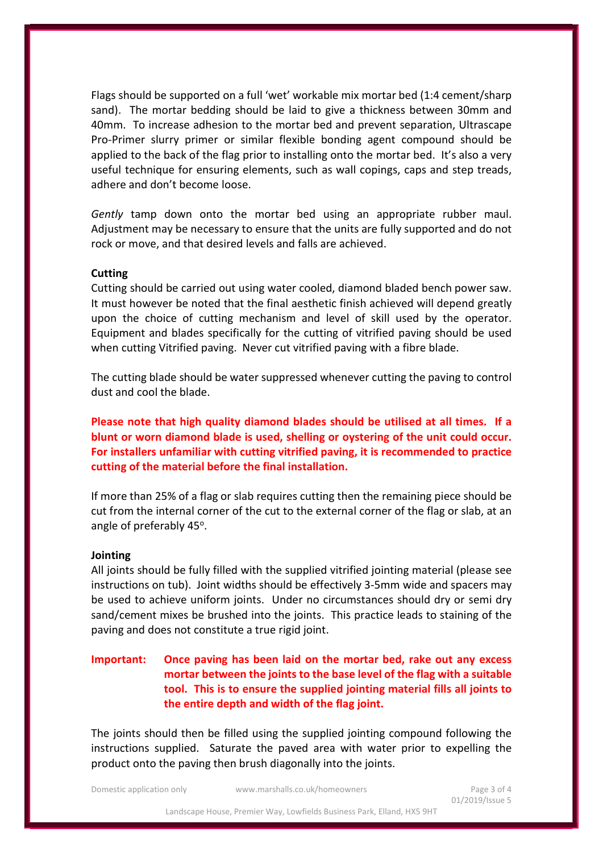Flags should be supported on a full 'wet' workable mix mortar bed (1:4 cement/sharp sand). The mortar bedding should be laid to give a thickness between 30mm and 40mm. To increase adhesion to the mortar bed and prevent separation, Ultrascape Pro-Primer slurry primer or similar flexible bonding agent compound should be applied to the back of the flag prior to installing onto the mortar bed. It's also a very useful technique for ensuring elements, such as wall copings, caps and step treads, adhere and don't become loose.

Gently tamp down onto the mortar bed using an appropriate rubber maul. Adjustment may be necessary to ensure that the units are fully supported and do not rock or move, and that desired levels and falls are achieved.

#### **Cutting**

Cutting should be carried out using water cooled, diamond bladed bench power saw. It must however be noted that the final aesthetic finish achieved will depend greatly upon the choice of cutting mechanism and level of skill used by the operator. Equipment and blades specifically for the cutting of vitrified paving should be used when cutting Vitrified paving. Never cut vitrified paving with a fibre blade.

The cutting blade should be water suppressed whenever cutting the paving to control dust and cool the blade.

Please note that high quality diamond blades should be utilised at all times. If a blunt or worn diamond blade is used, shelling or oystering of the unit could occur. For installers unfamiliar with cutting vitrified paving, it is recommended to practice cutting of the material before the final installation.

If more than 25% of a flag or slab requires cutting then the remaining piece should be cut from the internal corner of the cut to the external corner of the flag or slab, at an angle of preferably 45°.

#### Jointing

All joints should be fully filled with the supplied vitrified jointing material (please see instructions on tub). Joint widths should be effectively 3-5mm wide and spacers may be used to achieve uniform joints. Under no circumstances should dry or semi dry sand/cement mixes be brushed into the joints. This practice leads to staining of the paving and does not constitute a true rigid joint.

# Important: Once paving has been laid on the mortar bed, rake out any excess mortar between the joints to the base level of the flag with a suitable tool. This is to ensure the supplied jointing material fills all joints to the entire depth and width of the flag joint.

The joints should then be filled using the supplied jointing compound following the instructions supplied. Saturate the paved area with water prior to expelling the product onto the paving then brush diagonally into the joints.

Domestic application only www.marshalls.co.uk/homeowners Page 3 of 4

Landscape House, Premier Way, Lowfields Business Park, Elland, HX5 9HT